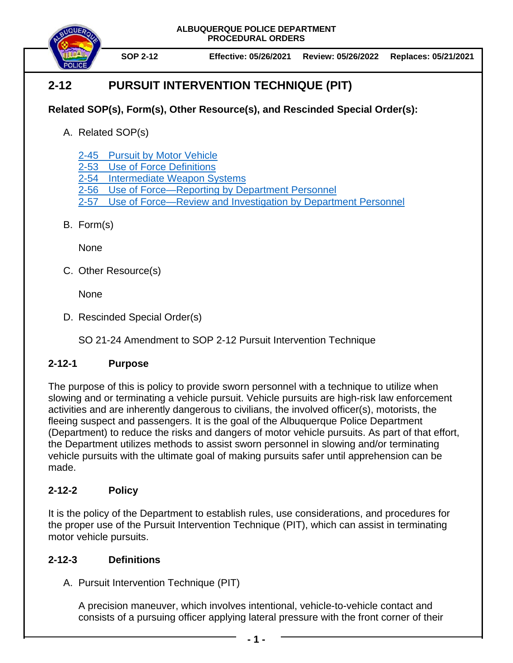**ALBUQUERQUE POLICE DEPARTMENT PROCEDURAL ORDERS**



**SOP 2-12 Effective: 05/26/2021 Review: 05/26/2022 Replaces: 05/21/2021**

# **2-12 PURSUIT INTERVENTION TECHNIQUE (PIT)**

# **Related SOP(s), Form(s), Other Resource(s), and Rescinded Special Order(s):**

A. Related SOP(s)

[2-45 Pursuit by Motor Vehicle](https://powerdms.com/docs/139)

2-53 [Use of Force Definitions](https://powerdms.com/docs/1897089)

- 2-54 [Intermediate Weapon Systems](https://powerdms.com/docs/1897091)
- [2-56 Use of Force—Reporting by Department Personnel](https://powerdms.com/docs/1897084)
- 2-57 [Use of Force—Review and Investigation by Department Personnel](https://powerdms.com/docs/1700599)
- B. Form(s)

**None** 

C. Other Resource(s)

None

D. Rescinded Special Order(s)

SO 21-24 Amendment to SOP 2-12 Pursuit Intervention Technique

### **2-12-1 Purpose**

The purpose of this is policy to provide sworn personnel with a technique to utilize when slowing and or terminating a vehicle pursuit. Vehicle pursuits are high-risk law enforcement activities and are inherently dangerous to civilians, the involved officer(s), motorists, the fleeing suspect and passengers. It is the goal of the Albuquerque Police Department (Department) to reduce the risks and dangers of motor vehicle pursuits. As part of that effort, the Department utilizes methods to assist sworn personnel in slowing and/or terminating vehicle pursuits with the ultimate goal of making pursuits safer until apprehension can be made.

# **2-12-2 Policy**

It is the policy of the Department to establish rules, use considerations, and procedures for the proper use of the Pursuit Intervention Technique (PIT), which can assist in terminating motor vehicle pursuits.

### **2-12-3 Definitions**

A. Pursuit Intervention Technique (PIT)

A precision maneuver, which involves intentional, vehicle-to-vehicle contact and consists of a pursuing officer applying lateral pressure with the front corner of their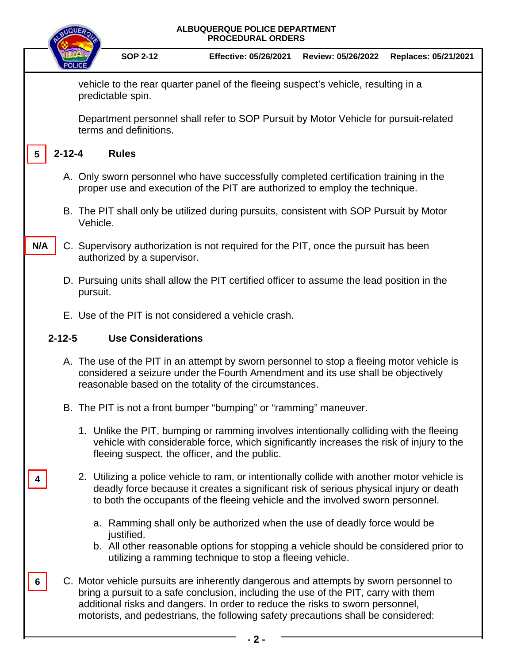| ALBUQUERQUE POLICE DEPARTMENT<br><b>PROCEDURAL ORDERS</b>                                               |                                                                                                                                                                      |                                                                                                                                                                                                                                                                                                                                                     |                                                                                                                                                  |                    |                      |
|---------------------------------------------------------------------------------------------------------|----------------------------------------------------------------------------------------------------------------------------------------------------------------------|-----------------------------------------------------------------------------------------------------------------------------------------------------------------------------------------------------------------------------------------------------------------------------------------------------------------------------------------------------|--------------------------------------------------------------------------------------------------------------------------------------------------|--------------------|----------------------|
|                                                                                                         |                                                                                                                                                                      | <b>SOP 2-12</b>                                                                                                                                                                                                                                                                                                                                     | <b>Effective: 05/26/2021</b>                                                                                                                     | Review: 05/26/2022 | Replaces: 05/21/2021 |
| vehicle to the rear quarter panel of the fleeing suspect's vehicle, resulting in a<br>predictable spin. |                                                                                                                                                                      |                                                                                                                                                                                                                                                                                                                                                     |                                                                                                                                                  |                    |                      |
|                                                                                                         | Department personnel shall refer to SOP Pursuit by Motor Vehicle for pursuit-related<br>terms and definitions.                                                       |                                                                                                                                                                                                                                                                                                                                                     |                                                                                                                                                  |                    |                      |
| $2 - 12 - 4$<br><b>Rules</b><br>5                                                                       |                                                                                                                                                                      |                                                                                                                                                                                                                                                                                                                                                     |                                                                                                                                                  |                    |                      |
|                                                                                                         | A. Only sworn personnel who have successfully completed certification training in the<br>proper use and execution of the PIT are authorized to employ the technique. |                                                                                                                                                                                                                                                                                                                                                     |                                                                                                                                                  |                    |                      |
|                                                                                                         | B. The PIT shall only be utilized during pursuits, consistent with SOP Pursuit by Motor<br>Vehicle.                                                                  |                                                                                                                                                                                                                                                                                                                                                     |                                                                                                                                                  |                    |                      |
| N/A                                                                                                     |                                                                                                                                                                      | C. Supervisory authorization is not required for the PIT, once the pursuit has been<br>authorized by a supervisor.                                                                                                                                                                                                                                  |                                                                                                                                                  |                    |                      |
|                                                                                                         |                                                                                                                                                                      | D. Pursuing units shall allow the PIT certified officer to assume the lead position in the<br>pursuit.                                                                                                                                                                                                                                              |                                                                                                                                                  |                    |                      |
|                                                                                                         |                                                                                                                                                                      | E. Use of the PIT is not considered a vehicle crash.                                                                                                                                                                                                                                                                                                |                                                                                                                                                  |                    |                      |
| <b>Use Considerations</b><br>$2 - 12 - 5$                                                               |                                                                                                                                                                      |                                                                                                                                                                                                                                                                                                                                                     |                                                                                                                                                  |                    |                      |
|                                                                                                         |                                                                                                                                                                      | A. The use of the PIT in an attempt by sworn personnel to stop a fleeing motor vehicle is<br>considered a seizure under the Fourth Amendment and its use shall be objectively<br>reasonable based on the totality of the circumstances.                                                                                                             |                                                                                                                                                  |                    |                      |
|                                                                                                         |                                                                                                                                                                      | B. The PIT is not a front bumper "bumping" or "ramming" maneuver.                                                                                                                                                                                                                                                                                   |                                                                                                                                                  |                    |                      |
|                                                                                                         |                                                                                                                                                                      | 1. Unlike the PIT, bumping or ramming involves intentionally colliding with the fleeing<br>vehicle with considerable force, which significantly increases the risk of injury to the<br>fleeing suspect, the officer, and the public.                                                                                                                |                                                                                                                                                  |                    |                      |
|                                                                                                         |                                                                                                                                                                      | 2. Utilizing a police vehicle to ram, or intentionally collide with another motor vehicle is<br>to both the occupants of the fleeing vehicle and the involved sworn personnel.                                                                                                                                                                      | deadly force because it creates a significant risk of serious physical injury or death                                                           |                    |                      |
|                                                                                                         |                                                                                                                                                                      | justified.                                                                                                                                                                                                                                                                                                                                          | a. Ramming shall only be authorized when the use of deadly force would be                                                                        |                    |                      |
|                                                                                                         |                                                                                                                                                                      |                                                                                                                                                                                                                                                                                                                                                     | b. All other reasonable options for stopping a vehicle should be considered prior to<br>utilizing a ramming technique to stop a fleeing vehicle. |                    |                      |
|                                                                                                         |                                                                                                                                                                      | C. Motor vehicle pursuits are inherently dangerous and attempts by sworn personnel to<br>bring a pursuit to a safe conclusion, including the use of the PIT, carry with them<br>additional risks and dangers. In order to reduce the risks to sworn personnel,<br>motorists, and pedestrians, the following safety precautions shall be considered: |                                                                                                                                                  |                    |                      |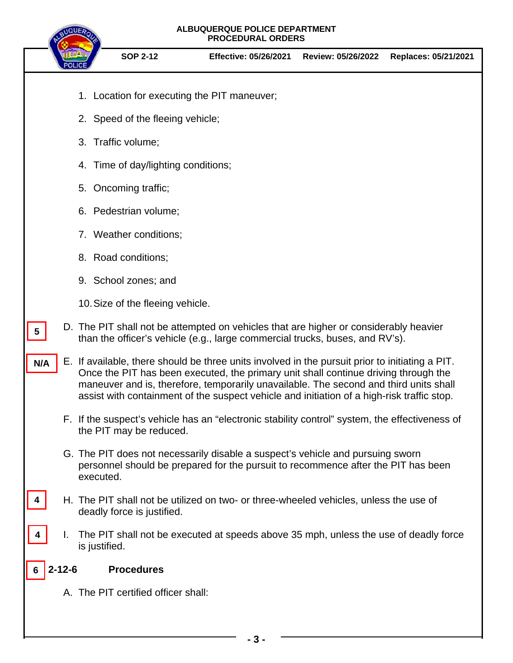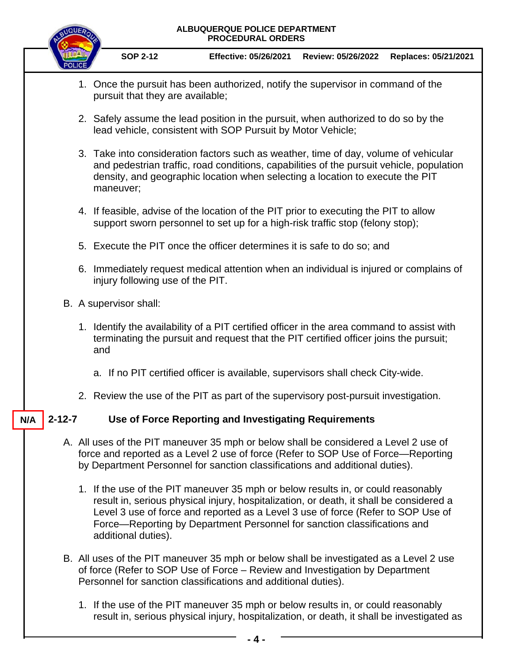

- B. All uses of the PIT maneuver 35 mph or below shall be investigated as a Level 2 use of force (Refer to SOP Use of Force – Review and Investigation by Department Personnel for sanction classifications and additional duties).
	- 1. If the use of the PIT maneuver 35 mph or below results in, or could reasonably result in, serious physical injury, hospitalization, or death, it shall be investigated as